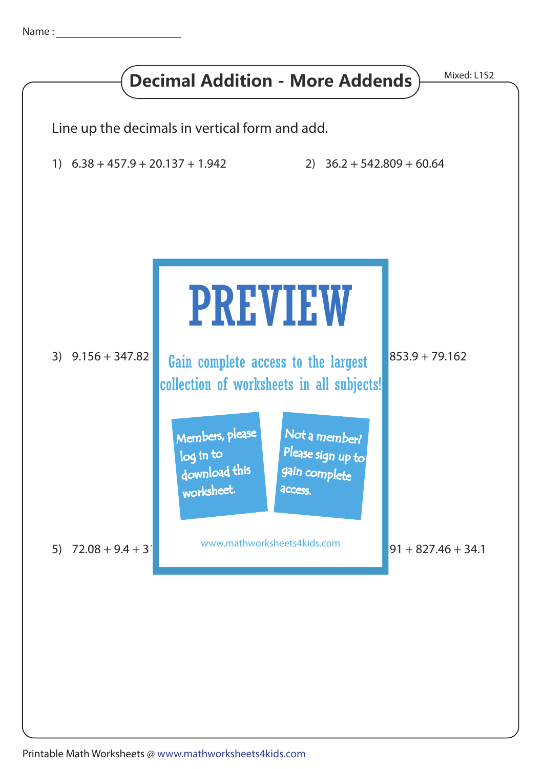